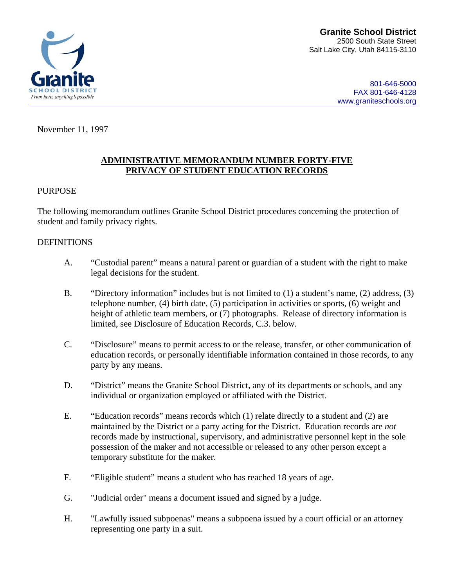



801-646-5000 FAX 801-646-4128 www.graniteschools.org

November 11, 1997

#### **ADMINISTRATIVE MEMORANDUM NUMBER FORTY-FIVE PRIVACY OF STUDENT EDUCATION RECORDS**

#### PURPOSE

The following memorandum outlines Granite School District procedures concerning the protection of student and family privacy rights.

#### DEFINITIONS

- A. "Custodial parent" means a natural parent or guardian of a student with the right to make legal decisions for the student.
- B. "Directory information" includes but is not limited to (1) a student's name, (2) address, (3) telephone number, (4) birth date, (5) participation in activities or sports, (6) weight and height of athletic team members, or (7) photographs. Release of directory information is limited, see Disclosure of Education Records, C.3. below.
- C. "Disclosure" means to permit access to or the release, transfer, or other communication of education records, or personally identifiable information contained in those records, to any party by any means.
- D. "District" means the Granite School District, any of its departments or schools, and any individual or organization employed or affiliated with the District.
- E. "Education records" means records which (1) relate directly to a student and (2) are maintained by the District or a party acting for the District. Education records are *not* records made by instructional, supervisory, and administrative personnel kept in the sole possession of the maker and not accessible or released to any other person except a temporary substitute for the maker.
- F. "Eligible student" means a student who has reached 18 years of age.
- G. "Judicial order" means a document issued and signed by a judge.
- H. "Lawfully issued subpoenas" means a subpoena issued by a court official or an attorney representing one party in a suit.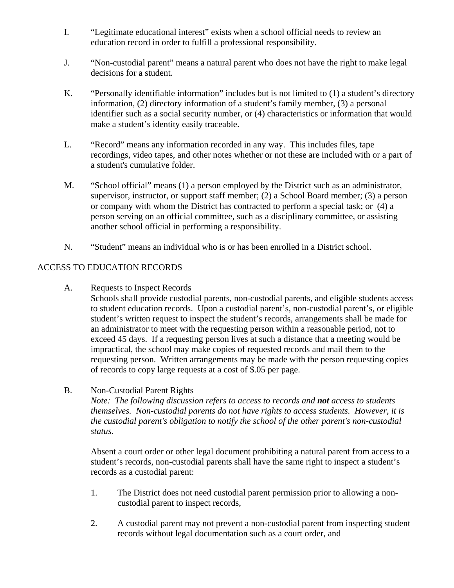- I. "Legitimate educational interest" exists when a school official needs to review an education record in order to fulfill a professional responsibility.
- J. "Non-custodial parent" means a natural parent who does not have the right to make legal decisions for a student.
- K. "Personally identifiable information" includes but is not limited to (1) a student's directory information, (2) directory information of a student's family member, (3) a personal identifier such as a social security number, or (4) characteristics or information that would make a student's identity easily traceable.
- L. "Record" means any information recorded in any way. This includes files, tape recordings, video tapes, and other notes whether or not these are included with or a part of a student's cumulative folder.
- M. "School official" means (1) a person employed by the District such as an administrator, supervisor, instructor, or support staff member; (2) a School Board member; (3) a person or company with whom the District has contracted to perform a special task; or (4) a person serving on an official committee, such as a disciplinary committee, or assisting another school official in performing a responsibility.
- N. "Student" means an individual who is or has been enrolled in a District school.

## ACCESS TO EDUCATION RECORDS

A. Requests to Inspect Records

Schools shall provide custodial parents, non-custodial parents, and eligible students access to student education records. Upon a custodial parent's, non-custodial parent's, or eligible student's written request to inspect the student's records, arrangements shall be made for an administrator to meet with the requesting person within a reasonable period, not to exceed 45 days. If a requesting person lives at such a distance that a meeting would be impractical, the school may make copies of requested records and mail them to the requesting person. Written arrangements may be made with the person requesting copies of records to copy large requests at a cost of \$.05 per page.

B. Non-Custodial Parent Rights

*Note: The following discussion refers to access to records and not access to students themselves. Non-custodial parents do not have rights to access students. However, it is the custodial parent's obligation to notify the school of the other parent's non-custodial status.* 

Absent a court order or other legal document prohibiting a natural parent from access to a student's records, non-custodial parents shall have the same right to inspect a student's records as a custodial parent:

- 1. The District does not need custodial parent permission prior to allowing a noncustodial parent to inspect records,
- 2. A custodial parent may not prevent a non-custodial parent from inspecting student records without legal documentation such as a court order, and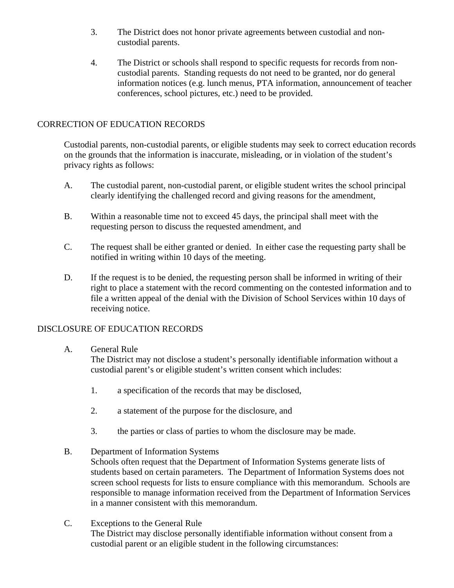- 3. The District does not honor private agreements between custodial and noncustodial parents.
- 4. The District or schools shall respond to specific requests for records from noncustodial parents. Standing requests do not need to be granted, nor do general information notices (e.g. lunch menus, PTA information, announcement of teacher conferences, school pictures, etc.) need to be provided.

## CORRECTION OF EDUCATION RECORDS

Custodial parents, non-custodial parents, or eligible students may seek to correct education records on the grounds that the information is inaccurate, misleading, or in violation of the student's privacy rights as follows:

- A. The custodial parent, non-custodial parent, or eligible student writes the school principal clearly identifying the challenged record and giving reasons for the amendment,
- B. Within a reasonable time not to exceed 45 days, the principal shall meet with the requesting person to discuss the requested amendment, and
- C. The request shall be either granted or denied. In either case the requesting party shall be notified in writing within 10 days of the meeting.
- D. If the request is to be denied, the requesting person shall be informed in writing of their right to place a statement with the record commenting on the contested information and to file a written appeal of the denial with the Division of School Services within 10 days of receiving notice.

### DISCLOSURE OF EDUCATION RECORDS

### A. General Rule

The District may not disclose a student's personally identifiable information without a custodial parent's or eligible student's written consent which includes:

- 1. a specification of the records that may be disclosed,
- 2. a statement of the purpose for the disclosure, and
- 3. the parties or class of parties to whom the disclosure may be made.

### B. Department of Information Systems

Schools often request that the Department of Information Systems generate lists of students based on certain parameters. The Department of Information Systems does not screen school requests for lists to ensure compliance with this memorandum. Schools are responsible to manage information received from the Department of Information Services in a manner consistent with this memorandum.

C. Exceptions to the General Rule The District may disclose personally identifiable information without consent from a custodial parent or an eligible student in the following circumstances: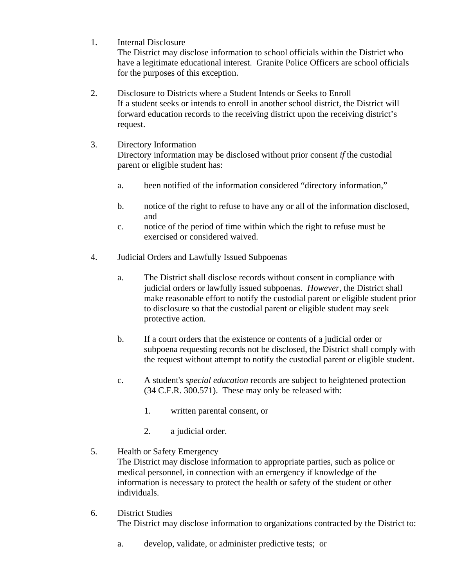1. Internal Disclosure

The District may disclose information to school officials within the District who have a legitimate educational interest. Granite Police Officers are school officials for the purposes of this exception.

- 2. Disclosure to Districts where a Student Intends or Seeks to Enroll If a student seeks or intends to enroll in another school district, the District will forward education records to the receiving district upon the receiving district's request.
- 3. Directory Information Directory information may be disclosed without prior consent *if* the custodial parent or eligible student has:
	- a. been notified of the information considered "directory information,"
	- b. notice of the right to refuse to have any or all of the information disclosed, and
	- c. notice of the period of time within which the right to refuse must be exercised or considered waived.
- 4. Judicial Orders and Lawfully Issued Subpoenas
	- a. The District shall disclose records without consent in compliance with judicial orders or lawfully issued subpoenas. *However*, the District shall make reasonable effort to notify the custodial parent or eligible student prior to disclosure so that the custodial parent or eligible student may seek protective action.
	- b. If a court orders that the existence or contents of a judicial order or subpoena requesting records not be disclosed, the District shall comply with the request without attempt to notify the custodial parent or eligible student.
	- c. A student's *special education* records are subject to heightened protection (34 C.F.R. 300.571). These may only be released with:
		- 1. written parental consent, or
		- 2. a judicial order.

### 5. Health or Safety Emergency

The District may disclose information to appropriate parties, such as police or medical personnel, in connection with an emergency if knowledge of the information is necessary to protect the health or safety of the student or other individuals.

- 6. District Studies The District may disclose information to organizations contracted by the District to:
	- a. develop, validate, or administer predictive tests; or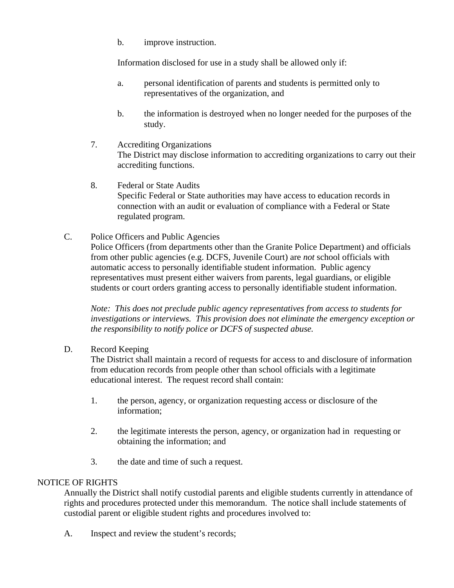b. improve instruction.

Information disclosed for use in a study shall be allowed only if:

- a. personal identification of parents and students is permitted only to representatives of the organization, and
- b. the information is destroyed when no longer needed for the purposes of the study.
- 7. Accrediting Organizations The District may disclose information to accrediting organizations to carry out their accrediting functions.
- 8. Federal or State Audits Specific Federal or State authorities may have access to education records in connection with an audit or evaluation of compliance with a Federal or State regulated program.
- C. Police Officers and Public Agencies Police Officers (from departments other than the Granite Police Department) and officials from other public agencies (e.g. DCFS, Juvenile Court) are *not* school officials with automatic access to personally identifiable student information. Public agency representatives must present either waivers from parents, legal guardians, or eligible students or court orders granting access to personally identifiable student information.

*Note: This does not preclude public agency representatives from access to students for investigations or interviews. This provision does not eliminate the emergency exception or the responsibility to notify police or DCFS of suspected abuse.* 

### D. Record Keeping

The District shall maintain a record of requests for access to and disclosure of information from education records from people other than school officials with a legitimate educational interest. The request record shall contain:

- 1. the person, agency, or organization requesting access or disclosure of the information;
- 2. the legitimate interests the person, agency, or organization had in requesting or obtaining the information; and
- 3. the date and time of such a request.

### NOTICE OF RIGHTS

Annually the District shall notify custodial parents and eligible students currently in attendance of rights and procedures protected under this memorandum. The notice shall include statements of custodial parent or eligible student rights and procedures involved to:

A. Inspect and review the student's records;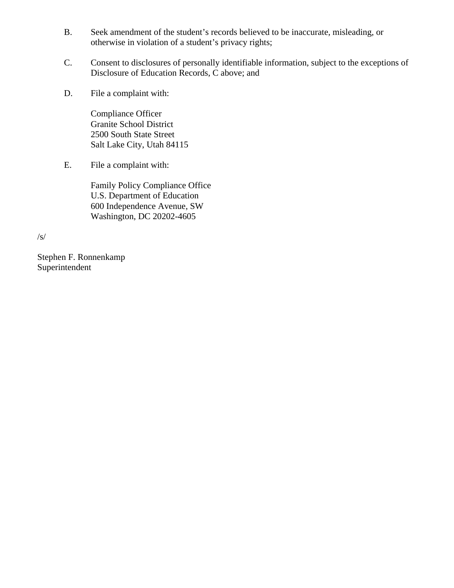- B. Seek amendment of the student's records believed to be inaccurate, misleading, or otherwise in violation of a student's privacy rights;
- C. Consent to disclosures of personally identifiable information, subject to the exceptions of Disclosure of Education Records, C above; and
- D. File a complaint with:

 Compliance Officer Granite School District 2500 South State Street Salt Lake City, Utah 84115

E. File a complaint with:

Family Policy Compliance Office U.S. Department of Education 600 Independence Avenue, SW Washington, DC 20202-4605

/s/

Stephen F. Ronnenkamp Superintendent